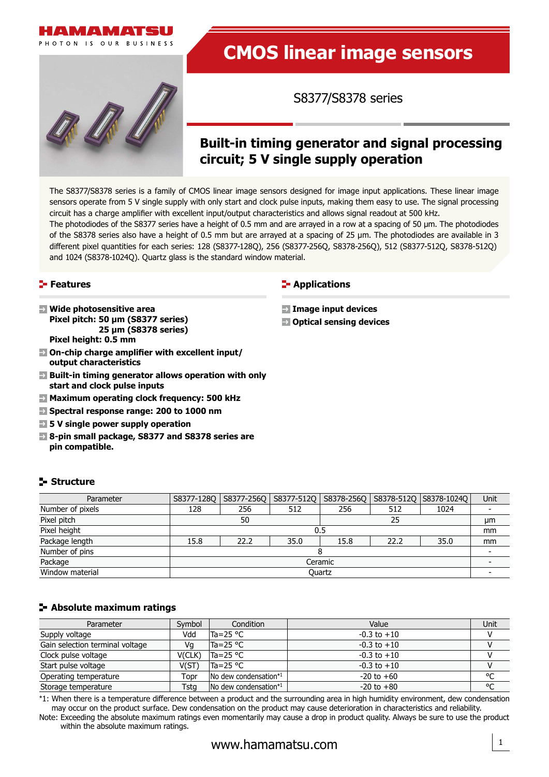



# **CMOS linear image sensors**

S8377/S8378 series

## **Built-in timing generator and signal processing circuit; 5 V single supply operation**

The S8377/S8378 series is a family of CMOS linear image sensors designed for image input applications. These linear image sensors operate from 5 V single supply with only start and clock pulse inputs, making them easy to use. The signal processing circuit has a charge amplifier with excellent input/output characteristics and allows signal readout at 500 kHz. The photodiodes of the S8377 series have a height of 0.5 mm and are arrayed in a row at a spacing of 50 µm. The photodiodes of the S8378 series also have a height of 0.5 mm but are arrayed at a spacing of 25 µm. The photodiodes are available in 3

different pixel quantities for each series: 128 (S8377-128Q), 256 (S8377-256Q, S8378-256Q), 512 (S8377-512Q, S8378-512Q) and 1024 (S8378-1024Q). Quartz glass is the standard window material.

#### **Features**

**Structure** 

- **Wide photosensitive area Pixel pitch: 50 µm (S8377 series) 25 µm (S8378 series) Pixel height: 0.5 mm**
- **On-chip charge amplifier with excellent input/ output characteristics**
- **Built-in timing generator allows operation with only start and clock pulse inputs**
- **Maximum operating clock frequency: 500 kHz**
- **Spectral response range: 200 to 1000 nm**
- **5 V single power supply operation**
- **8-pin small package, S8377 and S8378 series are pin compatible.**

#### **E**-Applications

- **Image input devices**
- **Optical sensing devices**

| Parameter |  |
|-----------|--|
|           |  |

| Parameter        | S8377-1280 | S8377-256Q | S8377-512Q | S8378-256Q |      | S8378-512Q   S8378-1024Q | <b>Unit</b> |
|------------------|------------|------------|------------|------------|------|--------------------------|-------------|
| Number of pixels | 128        | 256        | 512        | 256        | 512  | 1024                     |             |
| Pixel pitch      | 50<br>25   |            |            |            |      |                          |             |
| Pixel height     | 0.5        |            |            |            |      |                          |             |
| Package length   | 15.8       | 22.2       | 35.0       | 15.8       | 22.2 | 35.0                     | mm          |
| Number of pins   |            |            |            |            |      |                          |             |
| Package          | Ceramic    |            |            |            |      |                          |             |
| Window material  | Quartz     |            |            |            |      |                          |             |

#### **Absolute maximum ratings**

| Parameter                       | Symbol | Condition                                 | Value           | Unit |
|---------------------------------|--------|-------------------------------------------|-----------------|------|
| Supply voltage                  | Vdd    | $Ta = 25 °C$                              | $-0.3$ to $+10$ |      |
| Gain selection terminal voltage | Vq     | $Ta = 25 °C$                              | $-0.3$ to $+10$ |      |
| Clock pulse voltage             | V(CLK) | $Ta = 25 °C$                              | $-0.3$ to $+10$ |      |
| Start pulse voltage             | V(ST)  | $Ta = 25 °C$                              | $-0.3$ to $+10$ |      |
| Operating temperature           | Topr   | $\sqrt{N}$ dew condensation <sup>*1</sup> | $-20$ to $+60$  | °C   |
| Storage temperature             | Tstg   | No dew condensation*1                     | $-20$ to $+80$  | °C   |

\*1: When there is a temperature difference between a product and the surrounding area in high humidity environment, dew condensation may occur on the product surface. Dew condensation on the product may cause deterioration in characteristics and reliability.

Note: Exceeding the absolute maximum ratings even momentarily may cause a drop in product quality. Always be sure to use the product within the absolute maximum ratings.

1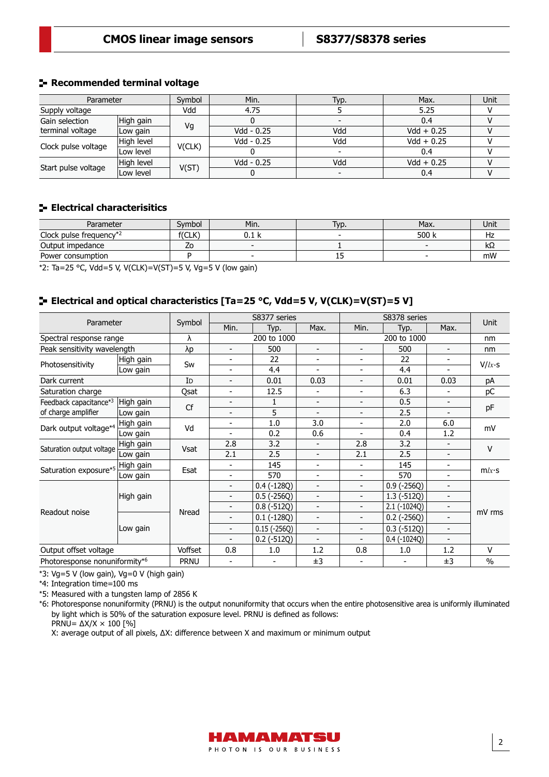#### **Recommended terminal voltage**

| Parameter           |            | Symbol | Min.       | Typ. | Max.         | Unit |
|---------------------|------------|--------|------------|------|--------------|------|
| Supply voltage      |            | Vdd    | 4.75       |      | 5.25         |      |
| Gain selection      | High gain  |        |            |      | 0.4          |      |
| terminal voltage    | Low gain   | Vq     | Vdd - 0.25 | Vdd  | $Vdd + 0.25$ |      |
|                     | High level |        | Vdd - 0.25 | Vdd  | $Vdd + 0.25$ |      |
| Clock pulse voltage | Low level  | V(CLK) |            |      | 0.4          |      |
| Start pulse voltage | High level |        | Vdd - 0.25 | Vdd  | $Vdd + 0.25$ |      |
|                     | Low level  | V(ST)  |            |      | 0.4          |      |

#### **Electrical characterisitics**

| Parameter               | Symbol              | Min.  | Typ.    | Max.  | Unit |
|-------------------------|---------------------|-------|---------|-------|------|
| Clock pulse frequency*2 | ישורי<br><b>ULN</b> | 0.I N |         | 500 k | ٦Ζ   |
| Output impedance        | 20                  |       |         |       | KΩ   |
| Power consumption       |                     |       | <b></b> |       | mW   |

\*2: Ta=25 °C, Vdd=5 V, V(CLK)=V(ST)=5 V, Vg=5 V (low gain)

#### **Electrical and optical characteristics [Ta=25 °C, Vdd=5 V, V(CLK)=V(ST)=5 V]**

| Parameter                     |           |             |                          | S8377 series      |                          |                              | S8378 series             |                          | Unit          |
|-------------------------------|-----------|-------------|--------------------------|-------------------|--------------------------|------------------------------|--------------------------|--------------------------|---------------|
|                               |           | Symbol      | Min.                     | Typ.              | Max.                     | Min.                         | Typ.                     | Max.                     |               |
| Spectral response range       |           | λ           | 200 to 1000              |                   | 200 to 1000              |                              |                          | nm                       |               |
| Peak sensitivity wavelength   |           | λp          | $\overline{\phantom{a}}$ | 500               | $\blacksquare$           | ۳                            | 500                      | $\overline{\phantom{a}}$ | nm            |
| Photosensitivity              | High gain | Sw          | $\overline{\phantom{a}}$ | 22                | $\overline{\phantom{a}}$ | $\overline{\phantom{a}}$     | 22                       |                          | $V/k \cdot s$ |
|                               | Low gain  |             | $\overline{\phantom{a}}$ | 4.4               |                          | ۳                            | 4.4                      |                          |               |
| Dark current                  |           | ID          | $\overline{\phantom{0}}$ | 0.01              | 0.03                     | $\overline{\phantom{0}}$     | 0.01                     | 0.03                     | pA            |
| Saturation charge             |           | Qsat        | -                        | 12.5              |                          | ۳                            | 6.3                      |                          | рC            |
| Feedback capacitance*3        | High gain | Cf          | -                        | $\mathbf{1}$      | $\overline{\phantom{a}}$ | $\overline{\phantom{0}}$     | 0.5                      | $\overline{\phantom{0}}$ |               |
| of charge amplifier           | Low gain  |             | -                        | 5                 | $\overline{\phantom{0}}$ | $\blacksquare$               | 2.5                      | $\overline{\phantom{a}}$ | pF            |
| Dark output voltage*4         | High gain | Vd          | -                        | 1.0               | 3.0                      | $\overline{\phantom{a}}$     | 2.0                      | 6.0                      | mV            |
|                               | Low gain  |             | -                        | 0.2               | 0.6                      | $\qquad \qquad \blacksquare$ | 0.4                      | 1.2                      |               |
|                               | High gain | <b>Vsat</b> | 2.8                      | 3.2               | $\blacksquare$           | 2.8                          | 3.2                      |                          | V             |
| Saturation output voltage     | Low gain  |             | 2.1                      | 2.5               | $\overline{\phantom{a}}$ | 2.1                          | 2.5                      | $\overline{\phantom{a}}$ |               |
| Saturation exposure*5         | High gain | Esat        | $\overline{\phantom{a}}$ | 145               | $\overline{\phantom{a}}$ | $\qquad \qquad \blacksquare$ | 145                      | -                        | $m/x \cdot s$ |
|                               | Low gain  |             | $\blacksquare$           | 570               | $\overline{\phantom{a}}$ | $\overline{\phantom{0}}$     | 570                      | $\overline{\phantom{a}}$ |               |
|                               |           |             | $\overline{\phantom{a}}$ | $0.4 (-128Q)$     | $\overline{a}$           | $\blacksquare$               | $0.9$ (-256Q)            | $\blacksquare$           |               |
|                               | High gain |             | $\overline{\phantom{a}}$ | $0.5(-256Q)$      | $\blacksquare$           | $\overline{\phantom{a}}$     | $1.3(-512Q)$             | $\overline{a}$           |               |
|                               |           | Nread       | -                        | $0.8(-512Q)$      | $\blacksquare$           | $\blacksquare$               | $2.1(-1024Q)$            | $\overline{\phantom{0}}$ |               |
| Readout noise                 |           |             |                          | $0.1(-128Q)$      | $\overline{\phantom{a}}$ | $\overline{\phantom{a}}$     | $0.2$ (-256Q)            |                          | mV rms        |
|                               | Low gain  |             | $\blacksquare$           | $0.15(-256Q)$     | $\blacksquare$           | ۳                            | $0.3$ ( $-512Q$ )        | $\overline{\phantom{a}}$ |               |
|                               |           |             |                          | $0.2$ ( $-512Q$ ) | $\overline{\phantom{a}}$ | ٠                            | $0.4$ ( $-1024Q$ )       | $\overline{\phantom{a}}$ |               |
| Output offset voltage         |           | Voffset     | 0.8                      | 1.0               | 1.2                      | 0.8                          | 1.0                      | 1.2                      | V             |
| Photoresponse nonuniformity*6 |           | <b>PRNU</b> | -                        | -                 | ±3                       | $\overline{\phantom{a}}$     | $\overline{\phantom{0}}$ | ±3                       | $\frac{0}{0}$ |

\*3: Vg=5 V (low gain), Vg=0 V (high gain)

\*4: Integration time=100 ms

\*5: Measured with a tungsten lamp of 2856 K

\*6: Photoresponse nonuniformity (PRNU) is the output nonuniformity that occurs when the entire photosensitive area is uniformly illuminated by light which is 50% of the saturation exposure level. PRNU is defined as follows: PRNU=  $\Delta$ X/X × 100 [%]

X: average output of all pixels, ∆X: difference between X and maximum or minimum output

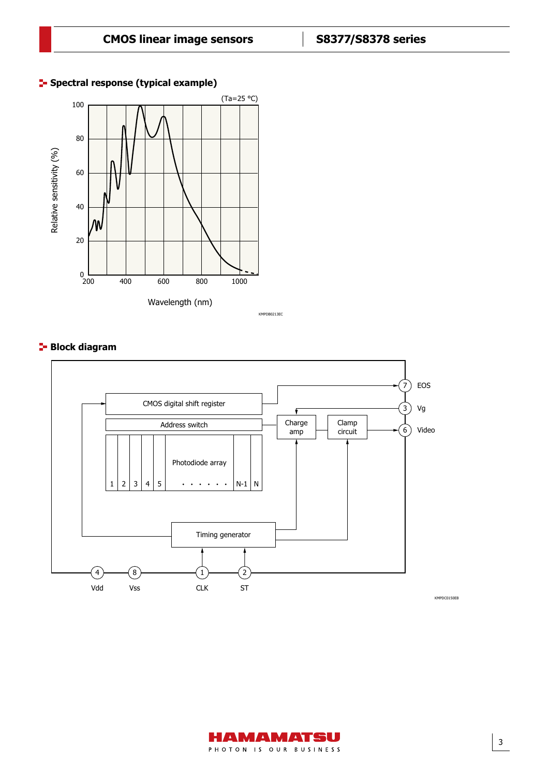#### **F** Spectral response (typical example)



KMPDB0213EC

#### **Block diagram**



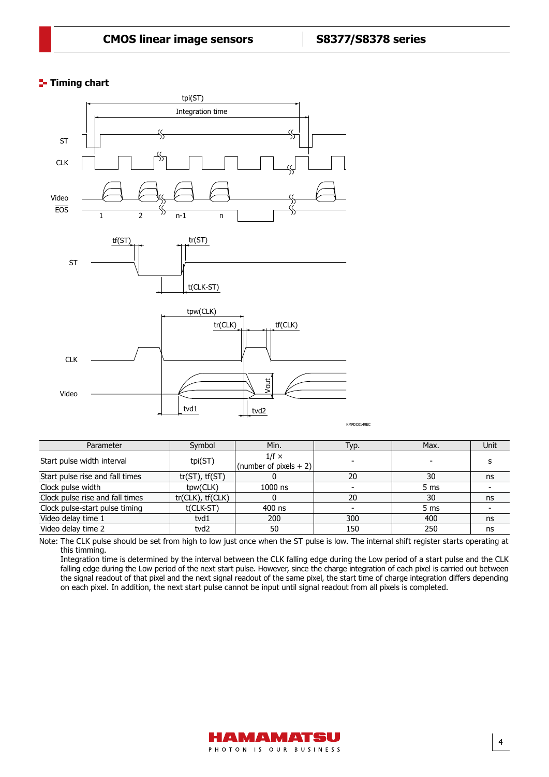### **T**- Timing chart



| Parameter                       | Symbol                | Min.                                   | Typ. | Max. | Unit |
|---------------------------------|-----------------------|----------------------------------------|------|------|------|
| Start pulse width interval      | tpi(ST)               | $1/f \times$<br>(number of pixels + 2) |      |      |      |
|                                 |                       |                                        |      |      |      |
| Start pulse rise and fall times | $tr(ST)$ , $tf(ST)$   |                                        | 20   | 30   | ns   |
| Clock pulse width               | tpw(CLK)              | $1000$ ns                              |      | 5 ms |      |
| Clock pulse rise and fall times | $tr(CLK)$ , $tf(CLK)$ |                                        | 20   | 30   | ns   |
| Clock pulse-start pulse timing  | t(CLK-ST)             | 400 ns                                 |      | 5 ms |      |
| Video delay time 1              | tvd1                  | 200                                    | 300  | 400  | ns   |
| Video delay time 2              | tvd2                  | 50                                     | 150  | 250  | ns   |

Note: The CLK pulse should be set from high to low just once when the ST pulse is low. The internal shift register starts operating at this timming.

Integration time is determined by the interval between the CLK falling edge during the Low period of a start pulse and the CLK falling edge during the Low period of the next start pulse. However, since the charge integration of each pixel is carried out between the signal readout of that pixel and the next signal readout of the same pixel, the start time of charge integration differs depending on each pixel. In addition, the next start pulse cannot be input until signal readout from all pixels is completed.



4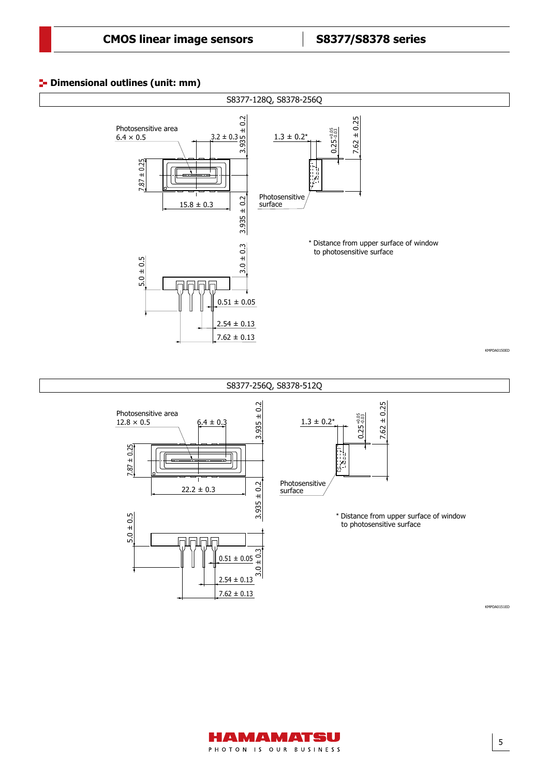# **Dimensional outlines (unit: mm)** Dimensional outline (S8377-128Q, S8378-256Q, unit: mm)



#### S8377-256Q, S8378-512Q





\* Distance from upper surface of window to photosensitive surface

KMPDA0151ED

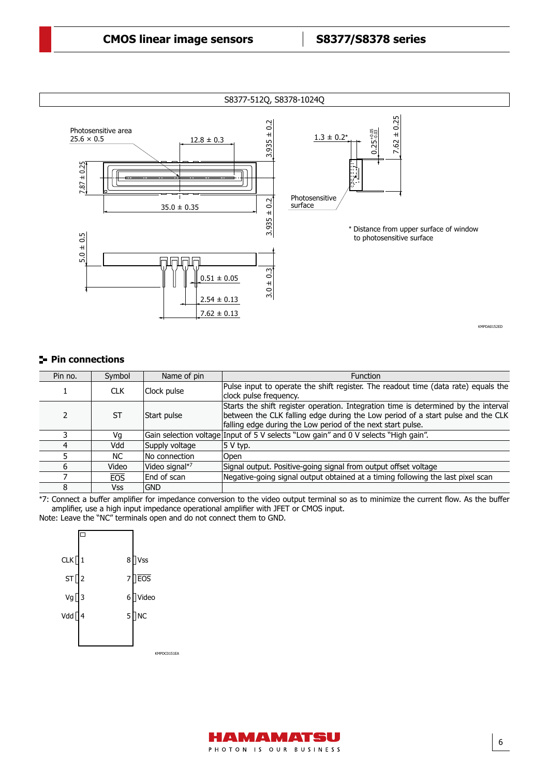

### **Pin connections**

| Pin no. | Symbol     | Name of pin    | <b>Function</b>                                                                                                                                                                                                                       |
|---------|------------|----------------|---------------------------------------------------------------------------------------------------------------------------------------------------------------------------------------------------------------------------------------|
|         | <b>CLK</b> | Clock pulse    | Pulse input to operate the shift register. The readout time (data rate) equals the<br>clock pulse frequency.                                                                                                                          |
|         | ST         | Start pulse    | Starts the shift register operation. Integration time is determined by the interval<br>between the CLK falling edge during the Low period of a start pulse and the CLK<br>falling edge during the Low period of the next start pulse. |
|         | Vq         |                | Gain selection voltage Input of 5 V selects "Low gain" and 0 V selects "High gain".                                                                                                                                                   |
|         | Vdd        | Supply voltage | $ 5 V$ typ.                                                                                                                                                                                                                           |
|         | NC.        | No connection  | Open                                                                                                                                                                                                                                  |
| h       | Video      | Video signal*7 | Signal output. Positive-going signal from output offset voltage                                                                                                                                                                       |
|         | <b>EOS</b> | End of scan    | Negative-going signal output obtained at a timing following the last pixel scan                                                                                                                                                       |
| 8       | Vss        | <b>GND</b>     |                                                                                                                                                                                                                                       |

\*7: Connect a buffer amplifier for impedance conversion to the video output terminal so as to minimize the current flow. As the buffer amplifier, use a high input impedance operational amplifier with JFET or CMOS input. Note: Leave the "NC" terminals open and do not connect them to GND.

| $CLK$ $1$        |                | 8 <sup>1</sup> | Vss         |
|------------------|----------------|----------------|-------------|
| ST               | $\overline{2}$ | 7              | EOS         |
| Vg               | 3              | 6              | Video       |
| Vdd <sup>[</sup> | 4              | 5              | <b>NC</b>   |
|                  |                |                |             |
|                  |                |                | KMPDC0151EA |



6